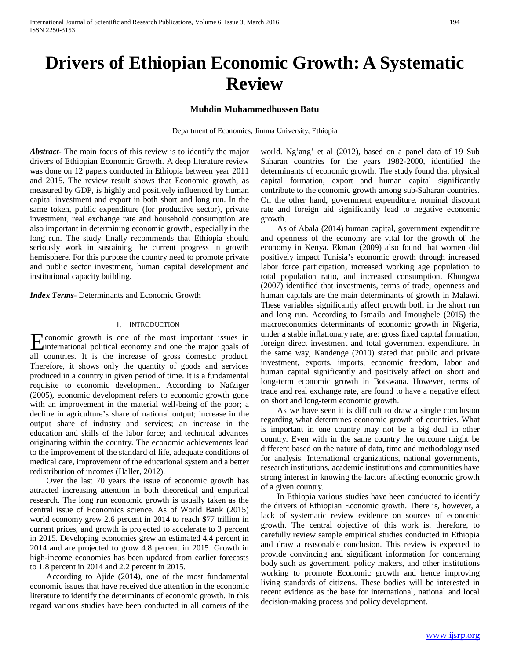# **Drivers of Ethiopian Economic Growth: A Systematic Review**

## **Muhdin Muhammedhussen Batu**

Department of Economics, Jimma University, Ethiopia

*Abstract***-** The main focus of this review is to identify the major drivers of Ethiopian Economic Growth. A deep literature review was done on 12 papers conducted in Ethiopia between year 2011 and 2015. The review result shows that Economic growth, as measured by GDP, is highly and positively influenced by human capital investment and export in both short and long run. In the same token, public expenditure (for productive sector), private investment, real exchange rate and household consumption are also important in determining economic growth, especially in the long run. The study finally recommends that Ethiopia should seriously work in sustaining the current progress in growth hemisphere. For this purpose the country need to promote private and public sector investment, human capital development and institutional capacity building.

*Index Terms*- Determinants and Economic Growth

#### I. INTRODUCTION

conomic growth is one of the most important issues in Expression contract is one of the most important issues in international political economy and one the major goals of all countries. It is the increase of gross domestic product. Therefore, it shows only the quantity of goods and services produced in a country in given period of time. It is a fundamental requisite to economic development. According to Nafziger (2005), economic development refers to economic growth gone with an improvement in the material well-being of the poor; a decline in agriculture's share of national output; increase in the output share of industry and services; an increase in the education and skills of the labor force; and technical advances originating within the country. The economic achievements lead to the improvement of the standard of life, adequate conditions of medical care, improvement of the educational system and a better redistribution of incomes (Haller, 2012).

 Over the last 70 years the issue of economic growth has attracted increasing attention in both theoretical and empirical research. The long run economic growth is usually taken as the central issue of Economics science. As of World Bank (2015) world economy grew 2.6 percent in 2014 to reach **\$**77 trillion in current prices, and growth is projected to accelerate to 3 percent in 2015. Developing economies grew an estimated 4.4 percent in 2014 and are projected to grow 4.8 percent in 2015. Growth in high-income economies has been updated from earlier forecasts to 1.8 percent in 2014 and 2.2 percent in 2015.

 According to Ajide (2014), one of the most fundamental economic issues that have received due attention in the economic literature to identify the determinants of economic growth. In this regard various studies have been conducted in all corners of the world. Ng'ang' et al (2012), based on a panel data of 19 Sub Saharan countries for the years 1982-2000, identified the determinants of economic growth. The study found that physical capital formation, export and human capital significantly contribute to the economic growth among sub-Saharan countries. On the other hand, government expenditure, nominal discount rate and foreign aid significantly lead to negative economic growth.

 As of Abala (2014) human capital, government expenditure and openness of the economy are vital for the growth of the economy in Kenya. Ekman (2009) also found that women did positively impact Tunisia's economic growth through increased labor force participation, increased working age population to total population ratio, and increased consumption. Khungwa (2007) identified that investments, terms of trade, openness and human capitals are the main determinants of growth in Malawi. These variables significantly affect growth both in the short run and long run. According to Ismaila and Imoughele (2015) the macroeconomics determinants of economic growth in Nigeria, under a stable inflationary rate, are: gross fixed capital formation, foreign direct investment and total government expenditure. In the same way, Kandenge (2010) stated that public and private investment, exports, imports, economic freedom, labor and human capital significantly and positively affect on short and long-term economic growth in Botswana. However, terms of trade and real exchange rate, are found to have a negative effect on short and long-term economic growth.

 As we have seen it is difficult to draw a single conclusion regarding what determines economic growth of countries. What is important in one country may not be a big deal in other country. Even with in the same country the outcome might be different based on the nature of data, time and methodology used for analysis. International organizations, national governments, research institutions, academic institutions and communities have strong interest in knowing the factors affecting economic growth of a given country.

 In Ethiopia various studies have been conducted to identify the drivers of Ethiopian Economic growth. There is, however, a lack of systematic review evidence on sources of economic growth. The central objective of this work is, therefore, to carefully review sample empirical studies conducted in Ethiopia and draw a reasonable conclusion. This review is expected to provide convincing and significant information for concerning body such as government, policy makers, and other institutions working to promote Economic growth and hence improving living standards of citizens. These bodies will be interested in recent evidence as the base for international, national and local decision-making process and policy development.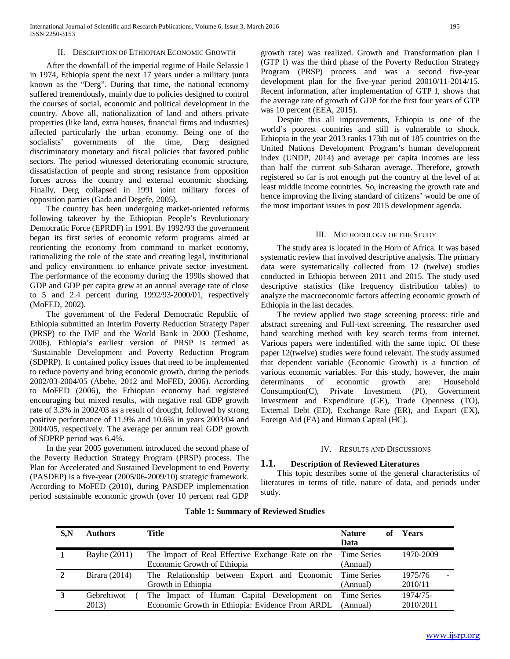#### II. DESCRIPTION OF ETHIOPIAN ECONOMIC GROWTH

 After the downfall of the imperial regime of Haile Selassie I in 1974, Ethiopia spent the next 17 years under a military junta known as the "Derg". During that time, the national economy suffered tremendously, mainly due to policies designed to control the courses of social, economic and political development in the country. Above all, nationalization of land and others private properties (like land, extra houses, financial firms and industries) affected particularly the urban economy. Being one of the socialists' governments of the time, Derg designed discriminatory monetary and fiscal policies that favored public sectors. The period witnessed deteriorating economic structure, dissatisfaction of people and strong resistance from opposition forces across the country and external economic shocking. Finally, Derg collapsed in 1991 joint military forces of opposition parties (Gada and Degefe, 2005).

 The country has been undergoing market-oriented reforms following takeover by the Ethiopian People's Revolutionary Democratic Force (EPRDF) in 1991. By 1992/93 the government began its first series of economic reform programs aimed at reorienting the economy from command to market economy, rationalizing the role of the state and creating legal, institutional and policy environment to enhance private sector investment. The performance of the economy during the 1990s showed that GDP and GDP per capita grew at an annual average rate of close to 5 and 2.4 percent during 1992/93-2000/01, respectively (MoFED, 2002).

 The government of the Federal Democratic Republic of Ethiopia submitted an Interim Poverty Reduction Strategy Paper (PRSP) to the IMF and the World Bank in 2000 (Teshome, 2006). Ethiopia's earliest version of PRSP is termed as 'Sustainable Development and Poverty Reduction Program (SDPRP). It contained policy issues that need to be implemented to reduce poverty and bring economic growth, during the periods 2002/03-2004/05 (Abebe, 2012 and MoFED, 2006). According to MoFED (2006), the Ethiopian economy had registered encouraging but mixed results, with negative real GDP growth rate of 3.3% in 2002/03 as a result of drought, followed by strong positive performance of 11.9% and 10.6% in years 2003/04 and 2004/05, respectively. The average per annum real GDP growth of SDPRP period was 6.4%.

 In the year 2005 government introduced the second phase of the Poverty Reduction Strategy Program (PRSP) process. The Plan for Accelerated and Sustained Development to end Poverty (PASDEP) is a five-year (2005/06-2009/10) strategic framework. According to MoFED (2010), during PASDEP implementation period sustainable economic growth (over 10 percent real GDP

growth rate) was realized. Growth and Transformation plan I (GTP I) was the third phase of the Poverty Reduction Strategy Program (PRSP) process and was a second five-year development plan for the five-year period 20010/11-2014/15. Recent information, after implementation of GTP I, shows that the average rate of growth of GDP for the first four years of GTP was 10 percent (EEA, 2015).

 Despite this all improvements, Ethiopia is one of the world's poorest countries and still is vulnerable to shock. Ethiopia in the year 2013 ranks 173th out of 185 countries on the United Nations Development Program's human development index (UNDP, 2014) and average per capita incomes are less than half the current sub-Saharan average. Therefore, growth registered so far is not enough put the country at the level of at least middle income countries. So, increasing the growth rate and hence improving the living standard of citizens' would be one of the most important issues in post 2015 development agenda.

#### III. METHODOLOGY OF THE STUDY

 The study area is located in the Horn of Africa. It was based systematic review that involved descriptive analysis. The primary data were systematically collected from 12 (twelve) studies conducted in Ethiopia between 2011 and 2015. The study used descriptive statistics (like frequency distribution tables) to analyze the macroeconomic factors affecting economic growth of Ethiopia in the last decades.

 The review applied two stage screening process: title and abstract screening and Full-text screening. The researcher used hand searching method with key search terms from internet. Various papers were indentified with the same topic. Of these paper 12(twelve) studies were found relevant. The study assumed that dependent variable (Economic Growth) is a function of various economic variables. For this study, however, the main determinants of economic growth are: Household Consumption(C), Private Investment (PI), Government Investment and Expenditure (GE), Trade Openness (TO), External Debt (ED), Exchange Rate (ER), and Export (EX), Foreign Aid (FA) and Human Capital (HC).

#### IV. RESULTS AND DISCUSSIONS

#### **1.1. Description of Reviewed Literatures**

 This topic describes some of the general characteristics of literatures in terms of title, nature of data, and periods under study.

| $S_{\rm A}N$ | <b>Authors</b>       | Title                                             | <b>Nature</b><br>of | Years     |
|--------------|----------------------|---------------------------------------------------|---------------------|-----------|
|              |                      |                                                   | Data                |           |
|              | <b>Baylie</b> (2011) | The Impact of Real Effective Exchange Rate on the | <b>Time Series</b>  | 1970-2009 |
|              |                      | Economic Growth of Ethiopia                       | (Annual)            |           |
| 2            | Birara (2014)        | The Relationship between Export and Economic      | Time Series         | 1975/76   |
|              |                      | Growth in Ethiopia                                | (Annual)            | 2010/11   |
| 3            | Gebrehiwot           | The Impact of Human Capital Development on        | <b>Time Series</b>  | 1974/75-  |
|              | 2013)                | Economic Growth in Ethiopia: Evidence From ARDL   | (Annual)            | 2010/2011 |

## **Table 1: Summary of Reviewed Studies**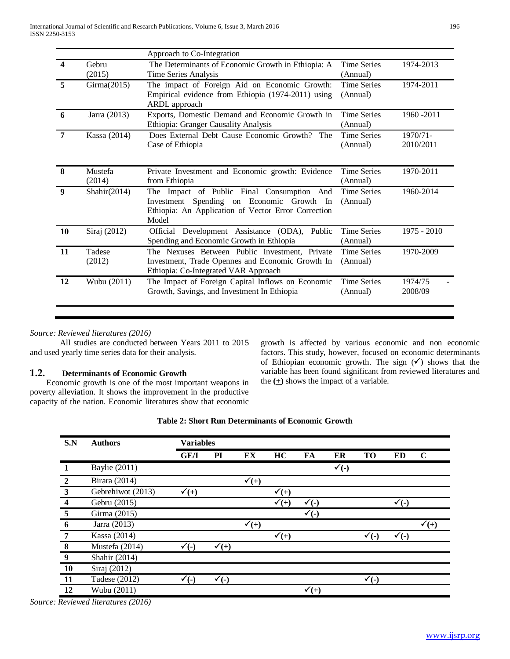| 4                | Gebru             |                                                                                                                                                         | Approach to Co-Integration     |                       |  |  |  |  |  |
|------------------|-------------------|---------------------------------------------------------------------------------------------------------------------------------------------------------|--------------------------------|-----------------------|--|--|--|--|--|
|                  | (2015)            | The Determinants of Economic Growth in Ethiopia: A<br>Time Series Analysis                                                                              | <b>Time Series</b><br>(Annual) | 1974-2013             |  |  |  |  |  |
| 5                | Girma(2015)       | The impact of Foreign Aid on Economic Growth:<br>Empirical evidence from Ethiopia (1974-2011) using<br>ARDL approach                                    | <b>Time Series</b><br>(Annual) | 1974-2011             |  |  |  |  |  |
| 6                | Jarra (2013)      | Exports, Domestic Demand and Economic Growth in<br>Ethiopia: Granger Causality Analysis                                                                 | <b>Time Series</b><br>(Annual) | 1960 - 2011           |  |  |  |  |  |
| $\overline{7}$   | Kassa (2014)      | Does External Debt Cause Economic Growth? The<br>Case of Ethiopia                                                                                       | <b>Time Series</b><br>(Annual) | 1970/71-<br>2010/2011 |  |  |  |  |  |
| 8                | Mustefa<br>(2014) | Private Investment and Economic growth: Evidence<br>from Ethiopia                                                                                       | <b>Time Series</b><br>(Annual) | 1970-2011             |  |  |  |  |  |
| $\boldsymbol{9}$ | Shahir $(2014)$   | The Impact of Public Final Consumption And<br>Investment Spending on Economic Growth In<br>Ethiopia: An Application of Vector Error Correction<br>Model | <b>Time Series</b><br>(Annual) | 1960-2014             |  |  |  |  |  |
| 10               | Siraj (2012)      | Development Assistance (ODA),<br>Public<br>Official<br>Spending and Economic Growth in Ethiopia                                                         | <b>Time Series</b><br>(Annual) | $1975 - 2010$         |  |  |  |  |  |
| 11               | Tadese<br>(2012)  | The Nexuses Between Public Investment, Private<br>Investment, Trade Opennes and Economic Growth In<br>Ethiopia: Co-Integrated VAR Approach              | <b>Time Series</b><br>(Annual) | 1970-2009             |  |  |  |  |  |
| 12               | Wubu (2011)       | The Impact of Foreign Capital Inflows on Economic<br>Growth, Savings, and Investment In Ethiopia                                                        | <b>Time Series</b><br>(Annual) | 1974/75<br>2008/09    |  |  |  |  |  |

# *Source: Reviewed literatures (2016)*

All studies are conducted between Years 2011 to 2015 and used yearly time series data for their analysis.

# **1.2. Determinants of Economic Growth**

 Economic growth is one of the most important weapons in poverty alleviation. It shows the improvement in the productive capacity of the nation. Economic literatures show that economic growth is affected by various economic and non economic factors. This study, however, focused on economic determinants of Ethiopian economic growth. The sign  $(\checkmark)$  shows that the variable has been found significant from reviewed literatures and the  $(+)$  shows the impact of a variable.

| S.N              | <b>Authors</b>       | <b>Variables</b> |                  |                  |                  |                  |                  |                  |                          |                  |
|------------------|----------------------|------------------|------------------|------------------|------------------|------------------|------------------|------------------|--------------------------|------------------|
|                  |                      | <b>GE/I</b>      | PI               | EX               | HC               | FA               | ER               | <b>TO</b>        | ED                       | $\mathbf C$      |
| 1                | <b>Baylie</b> (2011) |                  |                  |                  |                  |                  | $\checkmark$ (-) |                  |                          |                  |
| $\overline{2}$   | Birara (2014)        |                  |                  | $\checkmark$ (+) |                  |                  |                  |                  |                          |                  |
| 3                | Gebrehiwot (2013)    | $\checkmark$ (+) |                  |                  | $\checkmark$ (+) |                  |                  |                  |                          |                  |
| $\boldsymbol{4}$ | Gebru (2015)         |                  |                  |                  | $\bar{r}(+)$     | $\checkmark$ (-) |                  |                  | $\sqrt{\overline{}}$ (-) |                  |
| 5                | Girma (2015)         |                  |                  |                  |                  | $\checkmark$ (-) |                  |                  |                          |                  |
| 6                | Jarra (2013)         |                  |                  | $\checkmark$ (+) |                  |                  |                  |                  |                          | $\checkmark$ (+) |
| 7                | Kassa (2014)         |                  |                  |                  | $\sqrt{(\pm)}$   |                  |                  | $\checkmark$ (-) | $\checkmark$ (-)         |                  |
| 8                | Mustefa (2014)       | $\checkmark$ (-) | $\checkmark$ (+) |                  |                  |                  |                  |                  |                          |                  |
| 9                | Shahir (2014)        |                  |                  |                  |                  |                  |                  |                  |                          |                  |
| <b>10</b>        | Siraj (2012)         |                  |                  |                  |                  |                  |                  |                  |                          |                  |
| 11               | Tadese (2012)        | $\checkmark$ (-) | $\checkmark$ (-) |                  |                  |                  |                  | $\checkmark$ (-) |                          |                  |
| 12               | Wubu (2011)          |                  |                  |                  |                  | $\checkmark$ (+) |                  |                  |                          |                  |

# **Table 2: Short Run Determinants of Economic Growth**

*Source: Reviewed literatures (2016)*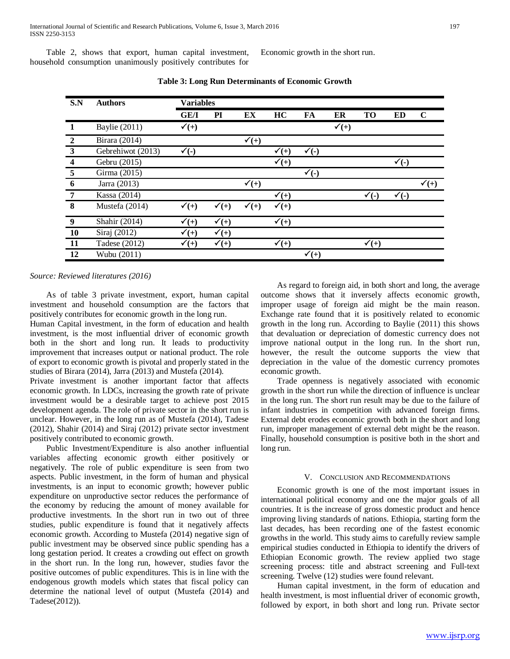Table 2, shows that export, human capital investment, household consumption unanimously positively contributes for Economic growth in the short run.

| S.N            | <b>Authors</b>       | <b>Variables</b> |                  |                  |                  |                  |                  |                  |                  |                  |
|----------------|----------------------|------------------|------------------|------------------|------------------|------------------|------------------|------------------|------------------|------------------|
|                |                      | GE/I             | PI               | EX               | HC               | FA               | ER               | <b>TO</b>        | <b>ED</b>        | $\mathbf C$      |
|                | <b>Baylie</b> (2011) | $\checkmark$ (+) |                  |                  |                  |                  | $\checkmark$ (+) |                  |                  |                  |
| $\overline{2}$ | Birara (2014)        |                  |                  | $\mathbf{v}(+)$  |                  |                  |                  |                  |                  |                  |
| $\mathbf{3}$   | Gebrehiwot (2013)    | $\checkmark$ (-) |                  |                  | $\checkmark$ (+) | $\checkmark$ (-) |                  |                  |                  |                  |
| 4              | Gebru (2015)         |                  |                  |                  | $\checkmark$ (+) |                  |                  |                  | $\checkmark$ (-) |                  |
| 5              | Girma (2015)         |                  |                  |                  |                  | $\checkmark$ (-) |                  |                  |                  |                  |
| 6              | Jarra (2013)         |                  |                  | $\checkmark$ (+) |                  |                  |                  |                  |                  | $\checkmark$ (+) |
| $\overline{7}$ | Kassa (2014)         |                  |                  |                  | $\checkmark$ (+) |                  |                  | $\bar{r}(\cdot)$ | $\checkmark$ (-) |                  |
| 8              | Mustefa (2014)       | $\checkmark$ (+) | $\checkmark$ (+) | $\checkmark$ (+) | $\checkmark$ (+) |                  |                  |                  |                  |                  |
| 9              | Shahir (2014)        | $\mathbf{v}(+)$  | $\checkmark$ (+) |                  | $\checkmark$ (+) |                  |                  |                  |                  |                  |
| 10             | Siraj (2012)         | $\checkmark$ (+) | $\checkmark$ (+) |                  |                  |                  |                  |                  |                  |                  |
| 11             | Tadese (2012)        | $\checkmark$ (+) | $\checkmark$ (+) |                  | $\checkmark$ (+) |                  |                  | $\checkmark$ (+) |                  |                  |
| 12             | Wubu (2011)          |                  |                  |                  |                  | $\checkmark$ (+) |                  |                  |                  |                  |

**Table 3: Long Run Determinants of Economic Growth**

*Source: Reviewed literatures (2016)*

 As of table 3 private investment, export, human capital investment and household consumption are the factors that positively contributes for economic growth in the long run.

Human Capital investment, in the form of education and health investment, is the most influential driver of economic growth both in the short and long run. It leads to productivity improvement that increases output or national product. The role of export to economic growth is pivotal and properly stated in the studies of Birara (2014), Jarra (2013) and Mustefa (2014).

Private investment is another important factor that affects economic growth. In LDCs, increasing the growth rate of private investment would be a desirable target to achieve post 2015 development agenda. The role of private sector in the short run is unclear. However, in the long run as of Mustefa (2014), Tadese (2012), Shahir (2014) and Siraj (2012) private sector investment positively contributed to economic growth.

 Public Investment/Expenditure is also another influential variables affecting economic growth either positively or negatively. The role of public expenditure is seen from two aspects. Public investment, in the form of human and physical investments, is an input to economic growth; however public expenditure on unproductive sector reduces the performance of the economy by reducing the amount of money available for productive investments. In the short run in two out of three studies, public expenditure is found that it negatively affects economic growth. According to Mustefa (2014) negative sign of public investment may be observed since public spending has a long gestation period. It creates a crowding out effect on growth in the short run. In the long run, however, studies favor the positive outcomes of public expenditures. This is in line with the endogenous growth models which states that fiscal policy can determine the national level of output (Mustefa (2014) and Tadese(2012)).

 As regard to foreign aid, in both short and long, the average outcome shows that it inversely affects economic growth, improper usage of foreign aid might be the main reason. Exchange rate found that it is positively related to economic growth in the long run. According to Baylie (2011) this shows that devaluation or depreciation of domestic currency does not improve national output in the long run. In the short run, however, the result the outcome supports the view that depreciation in the value of the domestic currency promotes economic growth.

 Trade openness is negatively associated with economic growth in the short run while the direction of influence is unclear in the long run. The short run result may be due to the failure of infant industries in competition with advanced foreign firms. External debt erodes economic growth both in the short and long run, improper management of external debt might be the reason. Finally, household consumption is positive both in the short and long run.

#### V. CONCLUSION AND RECOMMENDATIONS

 Economic growth is one of the most important issues in international political economy and one the major goals of all countries. It is the increase of gross domestic product and hence improving living standards of nations. Ethiopia, starting form the last decades, has been recording one of the fastest economic growths in the world. This study aims to carefully review sample empirical studies conducted in Ethiopia to identify the drivers of Ethiopian Economic growth. The review applied two stage screening process: title and abstract screening and Full-text screening. Twelve (12) studies were found relevant.

 Human capital investment, in the form of education and health investment, is most influential driver of economic growth, followed by export, in both short and long run. Private sector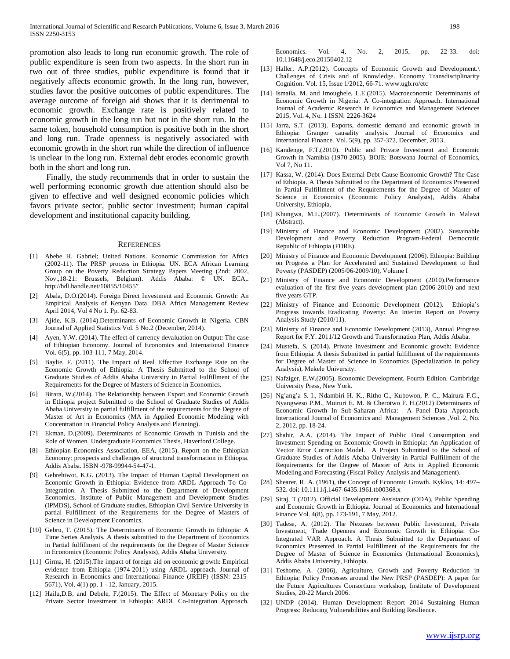promotion also leads to long run economic growth. The role of public expenditure is seen from two aspects. In the short run in two out of three studies, public expenditure is found that it negatively affects economic growth. In the long run, however, studies favor the positive outcomes of public expenditures. The average outcome of foreign aid shows that it is detrimental to economic growth. Exchange rate is positively related to economic growth in the long run but not in the short run. In the same token, household consumption is positive both in the short and long run. Trade openness is negatively associated with economic growth in the short run while the direction of influence is unclear in the long run. External debt erodes economic growth both in the short and long run.

 Finally, the study recommends that in order to sustain the well performing economic growth due attention should also be given to effective and well designed economic policies which favors private sector, public sector investment; human capital development and institutional capacity building.

#### **REFERENCES**

- [1] Abebe H. Gabriel; United Nations. Economic Commission for Africa (2002-11). The PRSP process in Ethiopia. UN. ECA African Learning Group on the Poverty Reduction Strategy Papers Meeting (2nd: 2002, Nov.,18-21: Brussels, Belgium). Addis Ababa: © UN. ECA,. http://hdl.handle.net/10855/10455"
- [2] Abala, D.O.(2014). Foreign Direct Investment and Economic Growth: An Empirical Analysis of Kenyan Data. DBA Africa Management Review April 2014, Vol 4 No 1. Pp. 62-83.
- [3] Ajide, K.B. (2014).Determinants of Economic Growth in Nigeria. CBN Journal of Applied Statistics Vol. 5 No.2 (December, 2014).
- [4] Ayen, Y.W. (2014). The effect of currency devaluation on Output: The case of Ethiopian Economy. Journal of Economics and International Finance Vol. 6(5), pp. 103-111, 7 May, 2014.
- [5] Baylie, F. (2011). The Impact of Real Effective Exchange Rate on the Economic Growth of Ethiopia. A Thesis Submitted to the School of Graduate Studies of Addis Ababa University in Partial Fulfillment of the Requirements for the Degree of Masters of Science in Economics.
- [6] Birara, W.(2014). The Relationship between Export and Economic Growth in Ethiopia project Submitted to the School of Graduate Studies of Addis Ababa University in partial fulfillment of the requirements for the Degree of Master of Art in Economics (MA in Applied Economic Modeling with Concentration in Financial Policy Analysis and Planning).
- [7] Ekman, D.(2009). Determinants of Economic Growth in Tunisia and the Role of Women. Undergraduate Economics Thesis, Haverford College.
- [8] Ethiopian Economics Association, EEA, (2015). Report on the Ethiopian Economy: prospects and challenges of structural transformation in Ethiopia. Addis Ababa. ISBN -978-99944-54-47-1.
- [9] Gebrehiwot, K.G. (2013). The Impact of Human Capital Development on Economic Growth in Ethiopia: Evidence from ARDL Approach To Co-Integration. A Thesis Submitted to the Department of Development Economics, Institute of Public Management and Development Studies (IPMDS), School of Graduate studies, Ethiopian Civil Service University in partial Fulfillment of the Requirements for the Degree of Masters of Science in Development Economics.
- [10] Gebru, T. (2015). The Determinants of Economic Growth in Ethiopia: A Time Series Analysis. A thesis submitted to the Department of Economics in Partial fulfillment of the requirements for the Degree of Master Science in Economics (Economic Policy Analysis), Addis Ababa University.
- [11] Girma, H. (2015).The impact of foreign aid on economic growth: Empirical evidence from Ethiopia (1974-2011) using ARDL approach. Journal of Research in Economics and International Finance (JREIF) (ISSN: 2315- 5671), Vol. 4(1) pp. 1 - 12, January, 2015.
- [12] Hailu,D.B. and Debele, F.(2015). The Effect of Monetary Policy on the Private Sector Investment in Ethiopia: ARDL Co-Integration Approach.

Economics. Vol. 4, No. 2, 2015, pp. 22-33. doi: 10.11648/j.eco.20150402.12

- [13] Haller, A.P.(2012). Concepts of Economic Growth and Development.\ Challenges of Crisis and of Knowledge. Economy Transdisciplinarity Cognition. Vol. 15, Issue 1/2012, 66-71. www.ugb.ro/etc
- [14] Ismaila, M. and Imoughele, L.E.(2015). Macroeconomic Determinants of Economic Growth in Nigeria: A Co-integration Approach. International Journal of Academic Research in Economics and Management Sciences 2015, Vol. 4, No. 1 ISSN: 2226-3624
- [15] Jarra, S.T. (2013). Exports, domestic demand and economic growth in Ethiopia: Granger causality analysis. Journal of Economics and International Finance. Vol. 5(9), pp. 357-372, December, 2013.
- [16] Kandenge, F.T.(2010). Public and Private Investment and Economic Growth in Namibia (1970-2005). BOJE: Botswana Journal of Economics, Vol 7, No 11.
- [17] Kassa, W. (2014). Does External Debt Cause Economic Growth? The Case of Ethiopia. A Thesis Submitted to the Department of Economics Presented in Partial Fulfillment of the Requirements for the Degree of Master of Science in Economics (Economic Policy Analysis), Addis Ababa University, Ethiopia.
- [18] Khungwa, M.L.(2007). Determinants of Economic Growth in Malawi (Abstract).
- [19] Ministry of Finance and Economic Development (2002). Sustainable Development and Poverty Reduction Program-Federal Democratic Republic of Ethiopia (FDRE).
- [20] Ministry of Finance and Economic Development (2006). Ethiopia: Building on Progress a Plan for Accelerated and Sustained Development to End Poverty (PASDEP) (2005/06-2009/10), Volume I
- [21] Ministry of Finance and Economic Development (2010).Performance evaluation of the first five years development plan (2006-2010) and next five years GTP.
- [22] Ministry of Finance and Economic Development (2012). Ethiopia's Progress towards Eradicating Poverty: An Interim Report on Poverty Analysis Study (2010/11).
- [23] Ministry of Finance and Economic Development (2013), Annual Progress Report for F.Y. 2011/12 Growth and Transformation Plan, Addis Ababa.
- [24] Mustefa, S. (2014). Private Investment and Economic growth: Evidence from Ethiopia. A thesis Submitted in partial fulfillment of the requirements for Degree of Master of Science in Economics (Specialization in policy Analysis), Mekele University.
- [25] Nafziger, E.W.(2005). Economic Development. Fourth Edition. Cambridge University Press, New York.
- [26] Ng'ang'a S. I., Ndambiri H. K., Ritho C., Kubowon, P. C., Mairura F.C., Nyangweso P.M., Muiruri E. M. & Cherotwo F. H.(2012) Determinants of Economic Growth In Sub-Saharan Africa: A Panel Data Approach. International Journal of Economics and Management Sciences ,Vol. 2, No. 2, 2012, pp. 18-24.
- [27] Shahir, A.A. (2014). The Impact of Public Final Consumption and Investment Spending on Economic Growth in Ethiopia: An Application of Vector Error Correction Model. A Project Submitted to the School of Graduate Studies of Addis Ababa University in Partial Fulfillment of the Requirements for the Degree of Master of Arts in Applied Economic Modeling and Forecasting (Fiscal Policy Analysis and Management).
- [28] Shearer, R. A. (1961), the Concept of Economic Growth. Kyklos, 14: 497– 532. doi: 10.1111/j.1467-6435.1961.tb00368.x
- [29] Siraj, T.(2012). Official Development Assistance (ODA), Public Spending and Economic Growth in Ethiopia. Journal of Economics and International Finance Vol. 4(8), pp. 173-191, 7 May, 2012.
- [30] Tadese, A. (2012). The Nexuses between Public Investment, Private Investment, Trade Opennes and Economic Growth in Ethiopia: Co-Integrated VAR Approach. A Thesis Submitted to the Department of Economics Presented in Partial Fulfillment of the Requirements for the Degree of Master of Science in Economics (International Economics), Addis Ababa University, Ethiopia.
- [31] Teshome, A. (2006), Agriculture, Growth and Poverty Reduction in Ethiopia: Policy Processes around the New PRSP (PASDEP): A paper for the Future Agricultures Consortium workshop, Institute of Development Studies, 20-22 March 2006.
- [32] UNDP (2014). Human Development Report 2014 Sustaining Human Progress: Reducing Vulnerabilities and Building Resilience.